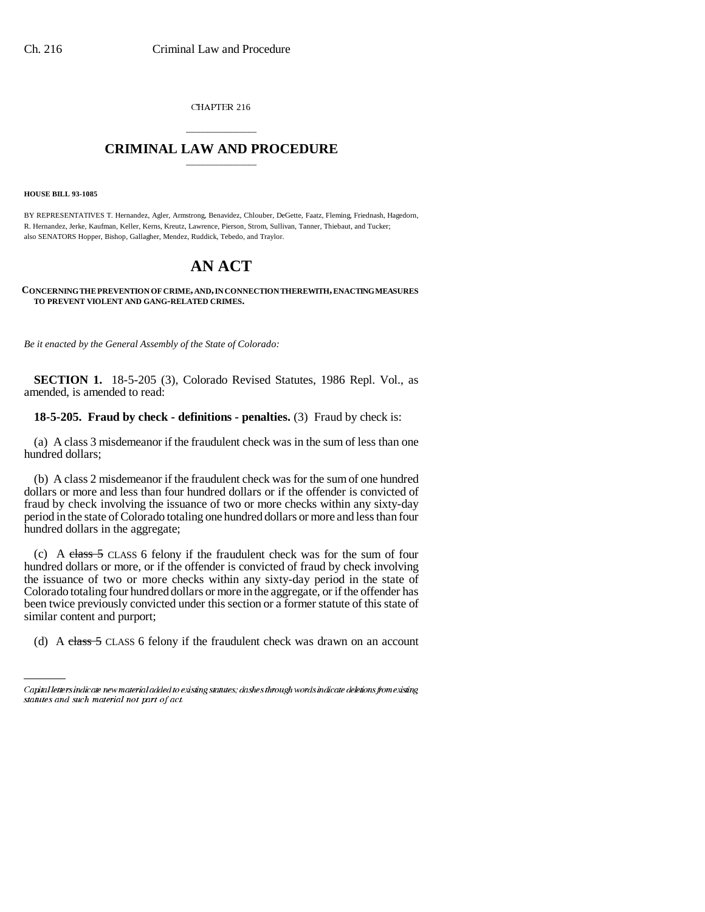CHAPTER 216

## \_\_\_\_\_\_\_\_\_\_\_\_\_\_\_ **CRIMINAL LAW AND PROCEDURE** \_\_\_\_\_\_\_\_\_\_\_\_\_\_\_

#### **HOUSE BILL 93-1085**

BY REPRESENTATIVES T. Hernandez, Agler, Armstrong, Benavidez, Chlouber, DeGette, Faatz, Fleming, Friednash, Hagedorn, R. Hernandez, Jerke, Kaufman, Keller, Kerns, Kreutz, Lawrence, Pierson, Strom, Sullivan, Tanner, Thiebaut, and Tucker; also SENATORS Hopper, Bishop, Gallagher, Mendez, Ruddick, Tebedo, and Traylor.

# **AN ACT**

#### **CONCERNING THE PREVENTION OF CRIME, AND, IN CONNECTION THEREWITH, ENACTING MEASURES TO PREVENT VIOLENT AND GANG-RELATED CRIMES.**

*Be it enacted by the General Assembly of the State of Colorado:*

**SECTION 1.** 18-5-205 (3), Colorado Revised Statutes, 1986 Repl. Vol., as amended, is amended to read:

### **18-5-205. Fraud by check - definitions - penalties.** (3) Fraud by check is:

(a) A class 3 misdemeanor if the fraudulent check was in the sum of less than one hundred dollars;

(b) A class 2 misdemeanor if the fraudulent check was for the sum of one hundred dollars or more and less than four hundred dollars or if the offender is convicted of fraud by check involving the issuance of two or more checks within any sixty-day period in the state of Colorado totaling one hundred dollars or more and less than four hundred dollars in the aggregate;

(c) A class 5 CLASS 6 felony if the fraudulent check was for the sum of four hundred dollars or more, or if the offender is convicted of fraud by check involving the issuance of two or more checks within any sixty-day period in the state of Colorado totaling four hundred dollars or more in the aggregate, or if the offender has been twice previously convicted under this section or a former statute of this state of similar content and purport;

(d) A class 5 CLASS 6 felony if the fraudulent check was drawn on an account

Capital letters indicate new material added to existing statutes; dashes through words indicate deletions from existing statutes and such material not part of act.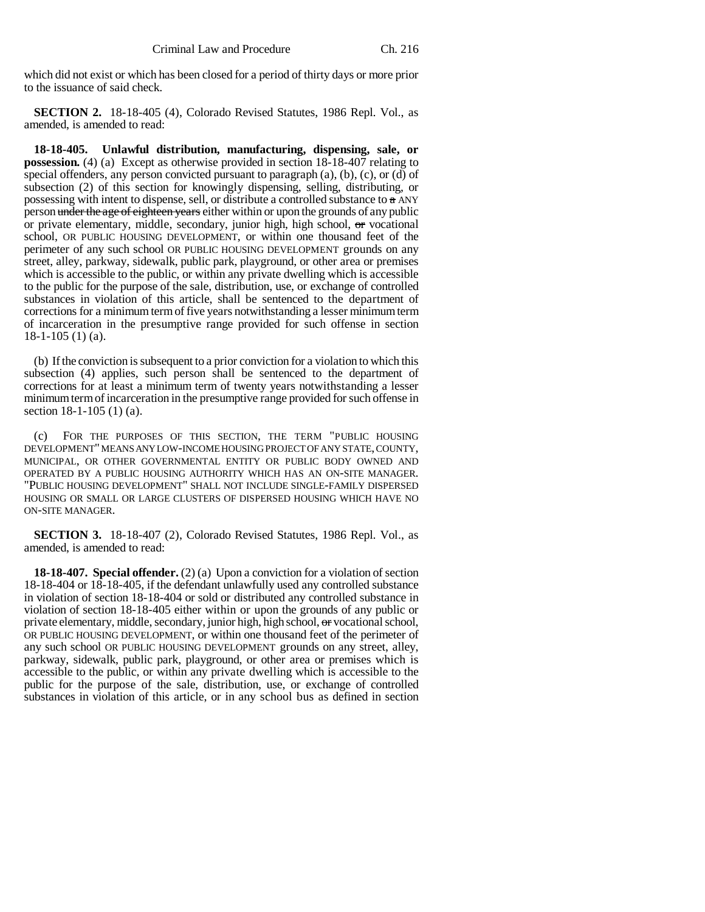which did not exist or which has been closed for a period of thirty days or more prior to the issuance of said check.

**SECTION 2.** 18-18-405 (4), Colorado Revised Statutes, 1986 Repl. Vol., as amended, is amended to read:

**18-18-405. Unlawful distribution, manufacturing, dispensing, sale, or possession.** (4) (a) Except as otherwise provided in section 18-18-407 relating to special offenders, any person convicted pursuant to paragraph  $(a)$ ,  $(b)$ ,  $(c)$ , or  $(d)$  of subsection (2) of this section for knowingly dispensing, selling, distributing, or possessing with intent to dispense, sell, or distribute a controlled substance to  $\alpha$  ANY person under the age of eighteen years either within or upon the grounds of any public or private elementary, middle, secondary, junior high, high school,  $\sigma$ r vocational school, OR PUBLIC HOUSING DEVELOPMENT, or within one thousand feet of the perimeter of any such school OR PUBLIC HOUSING DEVELOPMENT grounds on any street, alley, parkway, sidewalk, public park, playground, or other area or premises which is accessible to the public, or within any private dwelling which is accessible to the public for the purpose of the sale, distribution, use, or exchange of controlled substances in violation of this article, shall be sentenced to the department of corrections for a minimum term of five years notwithstanding a lesser minimum term of incarceration in the presumptive range provided for such offense in section 18-1-105 (1) (a).

(b) If the conviction is subsequent to a prior conviction for a violation to which this subsection (4) applies, such person shall be sentenced to the department of corrections for at least a minimum term of twenty years notwithstanding a lesser minimum term of incarceration in the presumptive range provided for such offense in section 18-1-105 (1) (a).

(c) FOR THE PURPOSES OF THIS SECTION, THE TERM "PUBLIC HOUSING DEVELOPMENT" MEANS ANY LOW-INCOME HOUSING PROJECT OF ANY STATE, COUNTY, MUNICIPAL, OR OTHER GOVERNMENTAL ENTITY OR PUBLIC BODY OWNED AND OPERATED BY A PUBLIC HOUSING AUTHORITY WHICH HAS AN ON-SITE MANAGER. "PUBLIC HOUSING DEVELOPMENT" SHALL NOT INCLUDE SINGLE-FAMILY DISPERSED HOUSING OR SMALL OR LARGE CLUSTERS OF DISPERSED HOUSING WHICH HAVE NO ON-SITE MANAGER.

**SECTION 3.** 18-18-407 (2), Colorado Revised Statutes, 1986 Repl. Vol., as amended, is amended to read:

**18-18-407. Special offender.** (2) (a) Upon a conviction for a violation of section 18-18-404 or 18-18-405, if the defendant unlawfully used any controlled substance in violation of section 18-18-404 or sold or distributed any controlled substance in violation of section 18-18-405 either within or upon the grounds of any public or private elementary, middle, secondary, junior high, high school, or vocational school, OR PUBLIC HOUSING DEVELOPMENT, or within one thousand feet of the perimeter of any such school OR PUBLIC HOUSING DEVELOPMENT grounds on any street, alley, parkway, sidewalk, public park, playground, or other area or premises which is accessible to the public, or within any private dwelling which is accessible to the public for the purpose of the sale, distribution, use, or exchange of controlled substances in violation of this article, or in any school bus as defined in section